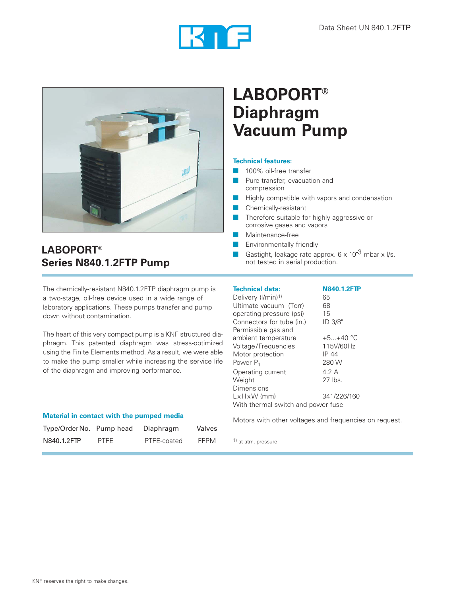



## **LABOPORT® Series N840.1.2FTP Pump**

The chemically-resistant N840.1.2FTP diaphragm pump is <sup>a</sup> two-stage, oil-free device used in a wide range of laboratory applications. These pumps transfer and pump down without contamination.

The heart of this very compact pump is a KNF structured diaphragm. This patented diaphragm was stress-optimized using the Finite Elements method. As a result, we were able to make the pump smaller while increasing the service life of the diaphragm and improving performance.

| Type/OrderNo. Pump head |             | Diaphragm   | Valves      |
|-------------------------|-------------|-------------|-------------|
| N840.1.2FTP             | <b>PTFF</b> | PTFE-coated | <b>FFPM</b> |

# **LABOPORT® Diaphragm Vacuum Pump**

### **Technical features:**

- 100% oil-free transfer
- Pure transfer, evacuation and compression
- Highly compatible with vapors and condensation
- Chemically-resistant
- Therefore suitable for highly aggressive or corrosive gases and vapors
- Maintenance-free
- Environmentally friendly
- Gastight, leakage rate approx.  $6 \times 10^{-3}$  mbar x l/s, not tested in serial production.

| <b>Technical data:</b>             | <b>N840.1.2FTP</b> |  |
|------------------------------------|--------------------|--|
| Delivery (I/min) <sup>1)</sup>     | 65                 |  |
| Ultimate vacuum (Torr)             | 68                 |  |
| operating pressure (psi)           | 15                 |  |
| Connectors for tube (in.)          | ID 3/8"            |  |
| Permissible gas and                |                    |  |
| ambient temperature                | $+5+40$ °C         |  |
| Voltage/Frequencies                | 115V/60Hz          |  |
| Motor protection                   | IP 44              |  |
| Power $P_1$                        | 280 W              |  |
| Operating current                  | 4.2 A              |  |
| Weight                             | $27$ lbs.          |  |
| Dimensions                         |                    |  |
| $LxHxW$ (mm)                       | 341/226/160        |  |
| With thermal switch and power fuse |                    |  |

**Material in contact with the pumped media**<br>Motors with other voltages and frequencies on request.

1) at atm. pressure